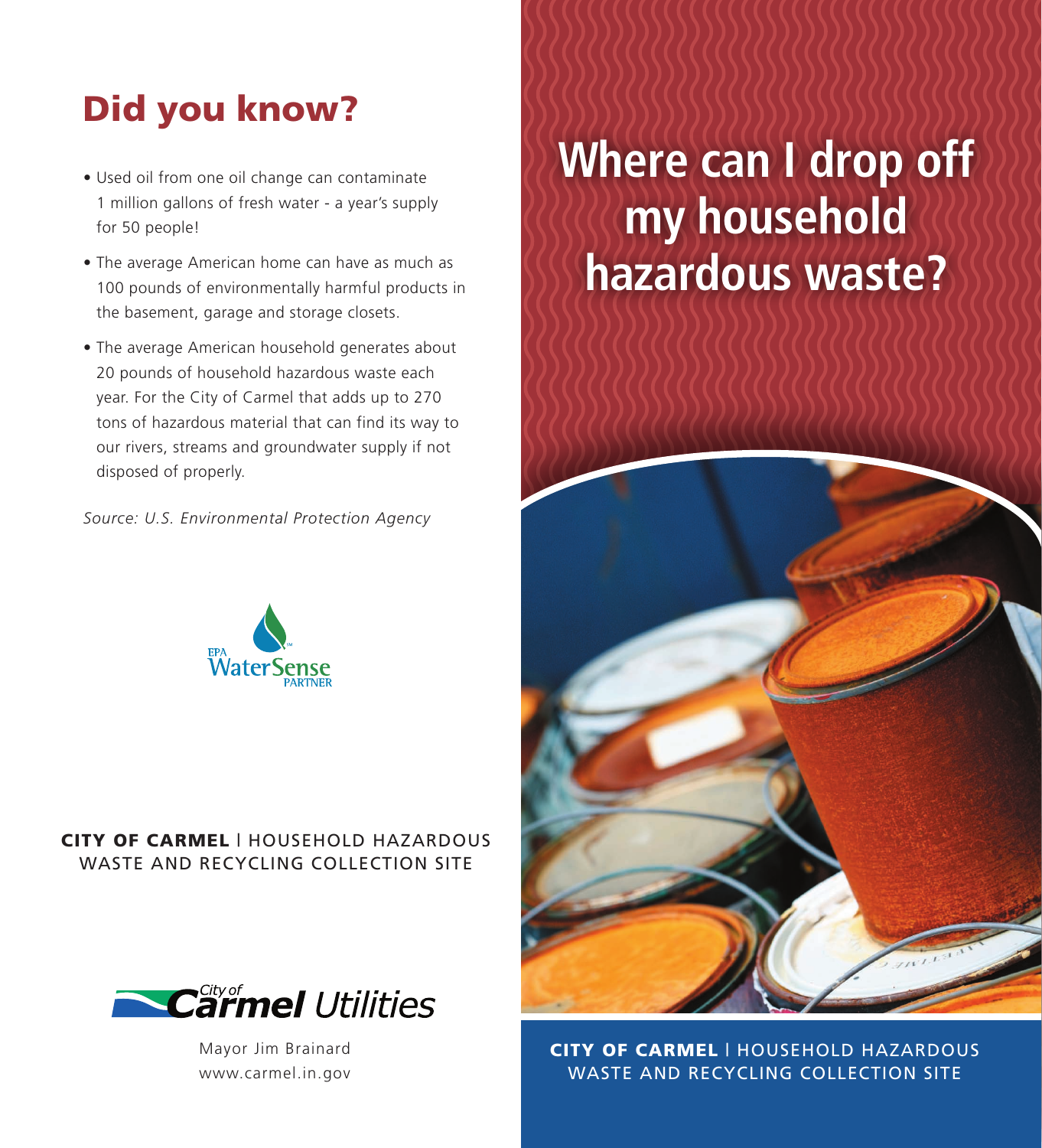## Did you know?

- Used oil from one oil change can contaminate 1 million gallons of fresh water - a year's supply for 50 people!
- The average American home can have as much as 100 pounds of environmentally harmful products in the basement, garage and storage closets.
- The average American household generates about 20 pounds of household hazardous waste each year. For the City of Carmel that adds up to 270 tons of hazardous material that can find its way to our rivers, streams and groundwater supply if not disposed of properly.

*Source: U.S. Environmental Protection Agency*



### CITY OF CARMEL | HOUSEHOLD HAZARDOUS WASTE AND RECYCLING COLLECTION SITE



Mayor Jim Brainard www.carmel.in.gov

# **Where can I drop off my household hazardous waste?**



**CITY OF CARMEL | HOUSEHOLD HAZARDOUS** WASTE AND RECYCLING COLLECTION SITE